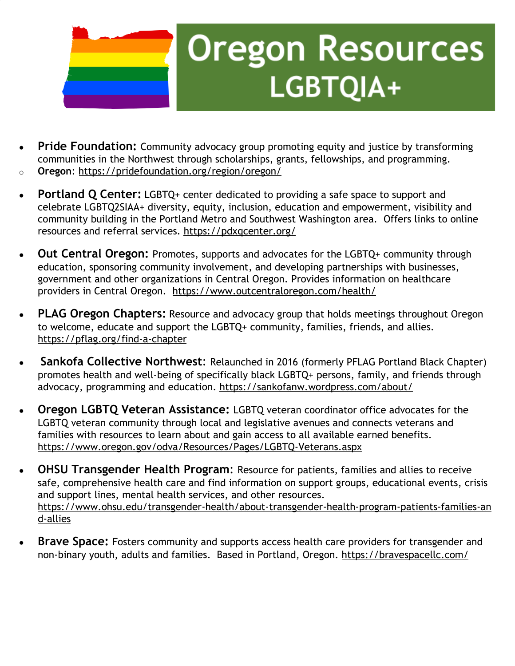

### **Oregon Resources** LGBTQIA+

- **Pride [Foundation:](http://www.pridefoundation.org/)** Community advocacy group promoting equity and justice by transforming communities in the Northwest through scholarships, grants, fellowships, and programming.
- o **Oregon**: <https://pridefoundation.org/region/oregon/>
- **[Portland](https://pdxqcenter.org/) Q Center:** LGBTQ+ center dedicated to providing a safe space to support and celebrate LGBTQ2SIAA+ diversity, equity, inclusion, education and empowerment, visibility and community building in the Portland Metro and Southwest Washington area. Offers links to online resources and referral services.<https://pdxqcenter.org/>
- **Out Central [Oregon:](https://www.outcentraloregon.com/)** Promotes, supports and advocates for the LGBTQ+ community through education, sponsoring community involvement, and developing partnerships with businesses, government and other organizations in Central Oregon. Provides information on healthcare providers in Central Oregon. <https://www.outcentraloregon.com/health/>
- **PLAG Oregon [Chapters:](https://pflag.org/find-a-chapter?field_geofield_distance%5Borigin%5D%5Bzipcode%5D=&field_geofield_distance%5Borigin%5D%5Bcity%5D=&field_geofield_distance%5Borigin%5D%5Bstate%5D=OR&field_geofield_distance%5Bdistance%5D=100&field_geofield_distance%5Bunit%5D=3959&sort_by=score&items_per_page=20)** Resource and advocacy group that holds meetings throughout Oregon to welcome, educate and support the LGBTQ+ community, families, friends, and allies. https://pflag.org/find-a-chapter
- **Sankofa Collective [Northwest](https://sankofanw.wordpress.com/about/):** Relaunched in 2016 (formerly PFLAG Portland Black Chapter) promotes health and well-being of specifically black LGBTQ+ persons, family, and friends through advocacy, programming and education. <https://sankofanw.wordpress.com/about/>
- **Oregon LGBTQ Veteran [Assistance:](https://www.oregon.gov/odva/Resources/Pages/LGBTQ-Veterans.aspx)** LGBTQ veteran coordinator office advocates for the LGBTQ veteran community through local and legislative avenues and connects veterans and families with resources to learn about and gain access to all available earned benefits. <https://www.oregon.gov/odva/Resources/Pages/LGBTQ-Veterans.aspx>
- **OHSU [Transgender](https://www.ohsu.edu/transgender-health/about-transgender-health-program) Health Program:** Resource for patients, families and allies to receive safe, comprehensive health care and find information on support groups, educational events, crisis and support lines, mental health services, and other resources. [https://www.ohsu.edu/transgender-health/about-transgender-health-program-patients-families-an](https://www.ohsu.edu/transgender-health/transgender-health-program-resources-patients-families-and-allies) [d-allies](https://www.ohsu.edu/transgender-health/transgender-health-program-resources-patients-families-and-allies)
- **Brave [Space:](https://www.bravespacellc.com/)** Fosters community and supports access health care providers for transgender and non-binary youth, adults and families. Based in Portland, Oregon. [https://bravespacellc.com/](https://www.bravespacellc.com/)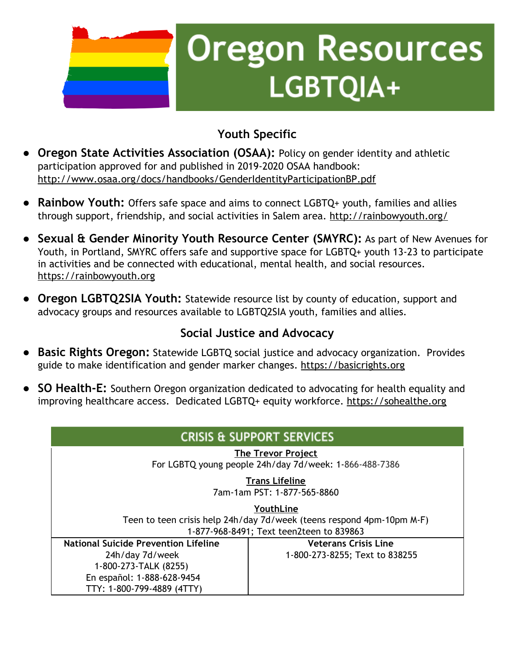

### **Oregon Resources** LGBTQIA+

#### **Youth Specific**

- **● Oregon State Activities [Association](http://www.osaa.org/governance/handbooks) (OSAA):** Policy on gender identity and athletic participation approved for and published in 2019-2020 OSAA handbook: <http://www.osaa.org/docs/handbooks/GenderIdentityParticipationBP.pdf>
- **● [Rainbow](http://rainbowyouth.org/) Youth:** Offers safe space and aims to connect LGBTQ+ youth, families and allies through support, friendship, and social activities in Salem area. <http://rainbowyouth.org/>
- **● Sexual & Gender Minority Youth [Resource](https://newavenues.org/smyrc) Center (SMYRC):** As part of New Avenues for Youth, in Portland, SMYRC offers safe and supportive space for LGBTQ+ youth 13-23 to participate in activities and be connected with educational, mental health, and social resources. [https://rainbowyouth.org](https://rainbowyouth.org/)
- **● Oregon [LGBTQ2SIA](https://www.courts.oregon.gov/programs/jcip/EducationMaterials/2018Eyes/LGBTQResourceList.pdf) Youth:** Statewide resource list by county of education, support and advocacy groups and resources available to LGBTQ2SIA youth, families and allies.

#### **Social Justice and Advocacy**

- **● Basic Rights [Oregon:](http://www.basicrights.org/)** Statewide LGBTQ social justice and advocacy organization. Provides guide to make identification and gender marker changes. [https://basicrights.org](http://www.basicrights.org/)
- **● SO Health-E:** Southern Oregon organization dedicated to advocating for health equality and improving healthcare access. Dedicated LGBTQ+ equity workforce. [https://sohealthe.org](https://sohealthe.org/)

#### **CRISIS & SUPPORT SERVICES**

**The Trevor Project** For LGBTQ young people 24h/day 7d/week: 1-866-488-7386

> **Trans Lifeline** 7am-1am PST: 1-877-565-8860

**YouthLine** Teen to teen crisis help 24h/day 7d/week (teens respond 4pm-10pm M-F) 1-877-968-8491; Text teen2teen to 839863

| <b>National Suicide Prevention Lifeline</b> | <b>Veterans Crisis Line</b>    |
|---------------------------------------------|--------------------------------|
| 24h/day 7d/week                             | 1-800-273-8255; Text to 838255 |
| 1-800-273-TALK (8255)                       |                                |
| En español: 1-888-628-9454                  |                                |
| TTY: 1-800-799-4889 (4TTY)                  |                                |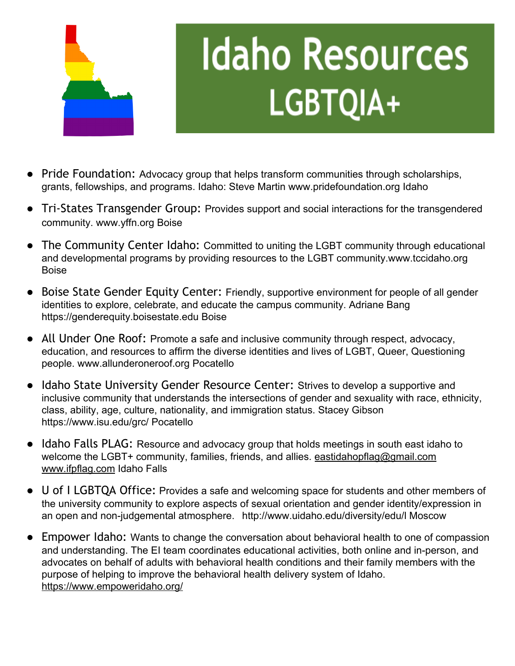

# **Idaho Resources** LGBTQIA+

- Pride Foundation: Advocacy group that helps transform communities through scholarships, grants, fellowships, and programs. Idaho: Steve Martin www.pridefoundation.org Idaho
- Tri-States Transgender Group: Provides support and social interactions for the transgendered community. www.yffn.org Boise
- The Community Center Idaho: Committed to uniting the LGBT community through educational and developmental programs by providing resources to the LGBT community.www.tccidaho.org Boise
- Boise State Gender Equity Center: Friendly, supportive environment for people of all gender identities to explore, celebrate, and educate the campus community. Adriane Bang https://genderequity.boisestate.edu Boise
- All Under One Roof: Promote a safe and inclusive community through respect, advocacy, education, and resources to affirm the diverse identities and lives of LGBT, Queer, Questioning people. www.allunderoneroof.org Pocatello
- Idaho State University Gender Resource Center: Strives to develop a supportive and inclusive community that understands the intersections of gender and sexuality with race, ethnicity, class, ability, age, culture, nationality, and immigration status. Stacey Gibson https://www.isu.edu/grc/ Pocatello
- Idaho Falls PLAG: Resource and advocacy group that holds meetings in south east idaho to welcome the LGBT+ community, families, friends, and allies. [eastidahopflag@gmail.com](mailto:eastidahopflag@gmail.com) [www.ifpflag.com](http://www.ifpflag.com/) Idaho Falls
- U of I LGBTQA Office: Provides a safe and welcoming space for students and other members of the university community to explore aspects of sexual orientation and gender identity/expression in an open and non-judgemental atmosphere. http://www.uidaho.edu/diversity/edu/l Moscow
- Empower Idaho: Wants to change the conversation about behavioral health to one of compassion and understanding. The EI team coordinates educational activities, both online and in-person, and advocates on behalf of adults with behavioral health conditions and their family members with the purpose of helping to improve the behavioral health delivery system of Idaho. <https://www.empoweridaho.org/>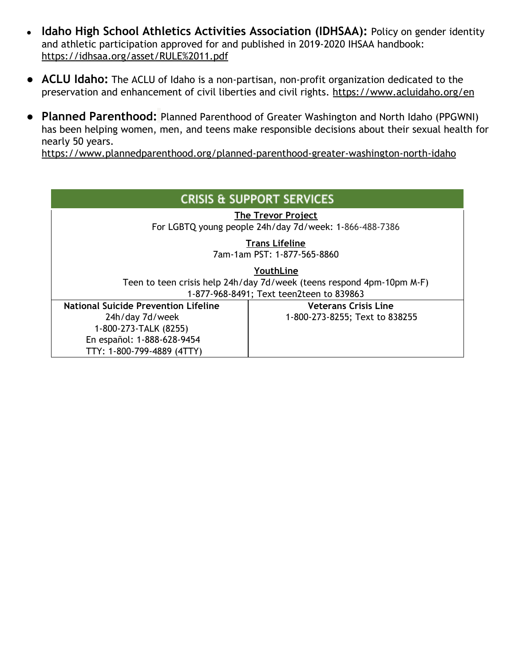- **Idaho High School Athletics Activities Association (IDHSAA):** Policy on gender identity and athletic participation approved for and published in 2019-2020 IHSAA handbook: <https://idhsaa.org/asset/RULE%2011.pdf>
- **● ACLU Idaho:** The ACLU of Idaho is a non-partisan, non-profit organization dedicated to the preservation and enhancement of civil liberties and civil rights. <https://www.acluidaho.org/en>
- **● Planned Parenthood:** Planned Parenthood of Greater Washington and North Idaho (PPGWNI) has been helping women, men, and teens make responsible decisions about their sexual health for nearly 50 years.

<https://www.plannedparenthood.org/planned-parenthood-greater-washington-north-idaho>

| <b>CRISIS &amp; SUPPORT SERVICES</b>                                               |                                |  |
|------------------------------------------------------------------------------------|--------------------------------|--|
| The Trevor Project<br>For LGBTQ young people 24h/day 7d/week: 1-866-488-7386       |                                |  |
| <b>Trans Lifeline</b><br>7am-1am PST: 1-877-565-8860                               |                                |  |
| YouthLine<br>Teen to teen crisis help 24h/day 7d/week (teens respond 4pm-10pm M-F) |                                |  |
| 1-877-968-8491; Text teen2teen to 839863                                           |                                |  |
| <b>National Suicide Prevention Lifeline</b>                                        | <b>Veterans Crisis Line</b>    |  |
| 24h/day 7d/week                                                                    | 1-800-273-8255; Text to 838255 |  |
| 1-800-273-TALK (8255)                                                              |                                |  |
| En español: 1-888-628-9454                                                         |                                |  |
| TTY: 1-800-799-4889 (4TTY)                                                         |                                |  |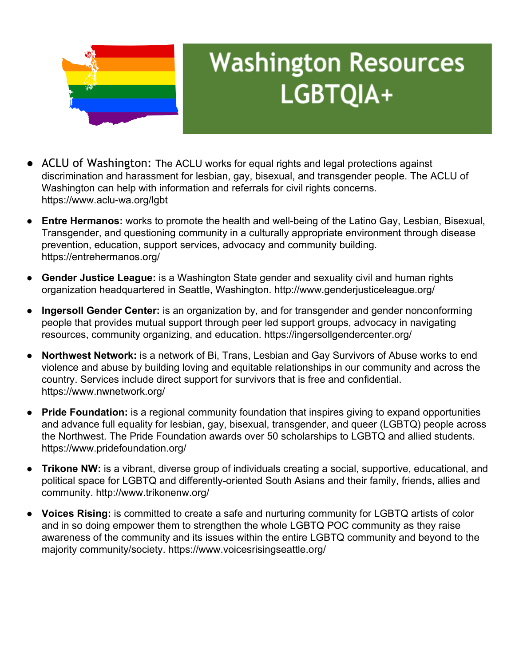

#### **Washington Resources** LGBTQIA+

- ACLU of Washington: The ACLU works for equal rights and legal protections against discrimination and harassment for lesbian, gay, bisexual, and transgender people. The ACLU of Washington can help with information and referrals for civil rights concerns. https://www.aclu-wa.org/lgbt
- **Entre Hermanos:** works to promote the health and well-being of the Latino Gay, Lesbian, Bisexual, Transgender, and questioning community in a culturally appropriate environment through disease prevention, education, support services, advocacy and community building. https://entrehermanos.org/
- **Gender Justice League:** is a Washington State gender and sexuality civil and human rights organization headquartered in Seattle, Washington. http://www.genderjusticeleague.org/
- **Ingersoll Gender Center:** is an organization by, and for transgender and gender nonconforming people that provides mutual support through peer led support groups, advocacy in navigating resources, community organizing, and education. https://ingersollgendercenter.org/
- **Northwest Network:** is a network of Bi, Trans, Lesbian and Gay Survivors of Abuse works to end violence and abuse by building loving and equitable relationships in our community and across the country. Services include direct support for survivors that is free and confidential. https://www.nwnetwork.org/
- **Pride Foundation:** is a regional community foundation that inspires giving to expand opportunities and advance full equality for lesbian, gay, bisexual, transgender, and queer (LGBTQ) people across the Northwest. The Pride Foundation awards over 50 scholarships to LGBTQ and allied students. https://www.pridefoundation.org/
- **Trikone NW:** is a vibrant, diverse group of individuals creating a social, supportive, educational, and political space for LGBTQ and differently-oriented South Asians and their family, friends, allies and community. http://www.trikonenw.org/
- **Voices Rising:** is committed to create a safe and nurturing community for LGBTQ artists of color and in so doing empower them to strengthen the whole LGBTQ POC community as they raise awareness of the community and its issues within the entire LGBTQ community and beyond to the majority community/society. https://www.voicesrisingseattle.org/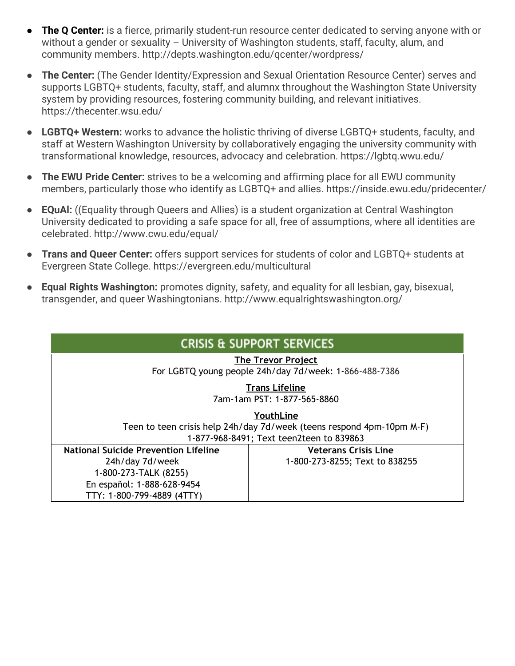- **● The Q Center:** is a fierce, primarily student-run resource center dedicated to serving anyone with or without a gender or sexuality – University of Washington students, staff, faculty, alum, and community members. http://depts.washington.edu/qcenter/wordpress/
- **The Center:** (The Gender Identity/Expression and Sexual Orientation Resource Center) serves and supports LGBTQ+ students, faculty, staff, and alumnx throughout the Washington State University system by providing resources, fostering community building, and relevant initiatives. https://thecenter.wsu.edu/
- **LGBTQ+ Western:** works to advance the holistic thriving of diverse LGBTQ+ students, faculty, and staff at Western Washington University by collaboratively engaging the university community with transformational knowledge, resources, advocacy and celebration. https://lgbtq.wwu.edu/
- **The EWU Pride Center:** strives to be a welcoming and affirming place for all EWU community members, particularly those who identify as LGBTQ+ and allies. https://inside.ewu.edu/pridecenter/
- **EQuAl:** ((Equality through Queers and Allies) is a student organization at Central Washington University dedicated to providing a safe space for all, free of assumptions, where all identities are celebrated. http://www.cwu.edu/equal/
- **Trans and Queer Center:** offers support services for students of color and LGBTQ+ students at Evergreen State College. https://evergreen.edu/multicultural
- **Equal Rights Washington:** promotes dignity, safety, and equality for all lesbian, gay, bisexual, transgender, and queer Washingtonians. http://www.equalrightswashington.org/

| <b>CRISIS &amp; SUPPORT SERVICES</b>                                                                              |                                |  |
|-------------------------------------------------------------------------------------------------------------------|--------------------------------|--|
| <b>The Trevor Project</b><br>For LGBTQ young people 24h/day 7d/week: 1-866-488-7386                               |                                |  |
| <b>Trans Lifeline</b><br>7am-1am PST: 1-877-565-8860                                                              |                                |  |
| YouthLine                                                                                                         |                                |  |
| Teen to teen crisis help 24h/day 7d/week (teens respond 4pm-10pm M-F)<br>1-877-968-8491; Text teen2teen to 839863 |                                |  |
| <b>National Suicide Prevention Lifeline</b>                                                                       | <b>Veterans Crisis Line</b>    |  |
| 24h/day 7d/week                                                                                                   | 1-800-273-8255; Text to 838255 |  |
| 1-800-273-TALK (8255)                                                                                             |                                |  |
| En español: 1-888-628-9454                                                                                        |                                |  |
| TTY: 1-800-799-4889 (4TTY)                                                                                        |                                |  |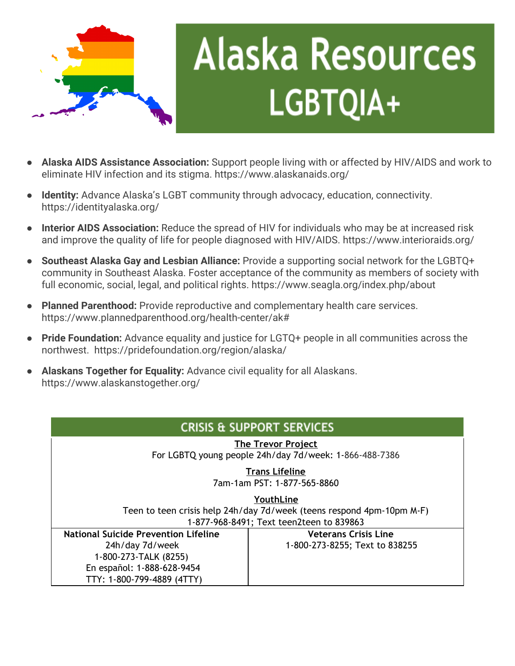

# **Alaska Resources** LGBTQIA+

- **Alaska AIDS Assistance Association:** Support people living with or affected by HIV/AIDS and work to eliminate HIV infection and its stigma. https://www.alaskanaids.org/
- **Identity:** Advance Alaska's LGBT community through advocacy, education, connectivity. https://identityalaska.org/
- **Interior AIDS Association:** Reduce the spread of HIV for individuals who may be at increased risk and improve the quality of life for people diagnosed with HIV/AIDS. https://www.interioraids.org/
- **Southeast Alaska Gay and Lesbian Alliance:** Provide a supporting social network for the LGBTQ+ community in Southeast Alaska. Foster acceptance of the community as members of society with full economic, social, legal, and political rights. https://www.seagla.org/index.php/about
- **Planned Parenthood:** Provide reproductive and complementary health care services. https://www.plannedparenthood.org/health-center/ak#
- **Pride Foundation:** Advance equality and justice for LGTQ+ people in all communities across the northwest. https://pridefoundation.org/region/alaska/
- **Alaskans Together for Equality:** Advance civil equality for all Alaskans. https://www.alaskanstogether.org/

| <b>CRISIS &amp; SUPPORT SERVICES</b>                                                                                                                |                                                               |  |
|-----------------------------------------------------------------------------------------------------------------------------------------------------|---------------------------------------------------------------|--|
| The Trevor Project<br>For LGBTQ young people 24h/day 7d/week: 1-866-488-7386                                                                        |                                                               |  |
| <b>Trans Lifeline</b><br>7am-1am PST: 1-877-565-8860                                                                                                |                                                               |  |
| YouthLine<br>Teen to teen crisis help 24h/day 7d/week (teens respond 4pm-10pm M-F)<br>1-877-968-8491; Text teen2teen to 839863                      |                                                               |  |
| <b>National Suicide Prevention Lifeline</b><br>24h/day 7d/week<br>1-800-273-TALK (8255)<br>En español: 1-888-628-9454<br>TTY: 1-800-799-4889 (4TTY) | <b>Veterans Crisis Line</b><br>1-800-273-8255; Text to 838255 |  |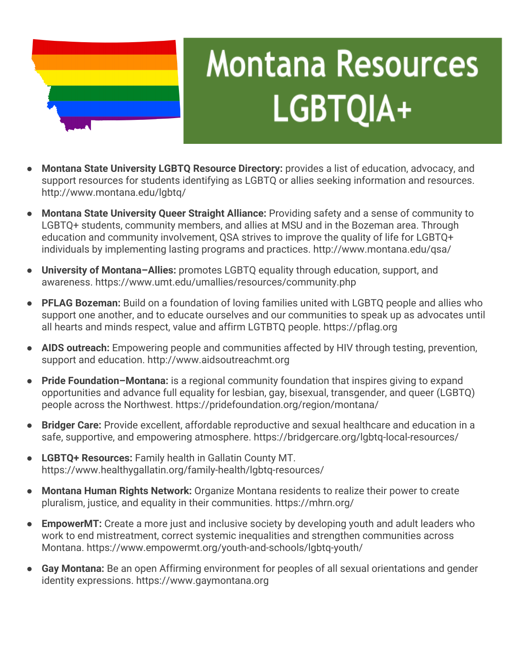

### **Montana Resources** LGBTQIA+

- **Montana State University LGBTQ Resource Directory:** provides a list of education, advocacy, and support resources for students identifying as LGBTQ or allies seeking information and resources. http://www.montana.edu/lgbtq/
- **Montana State University Queer Straight Alliance:** Providing safety and a sense of community to LGBTQ+ students, community members, and allies at MSU and in the Bozeman area. Through education and community involvement, QSA strives to improve the quality of life for LGBTQ+ individuals by implementing lasting programs and practices. http://www.montana.edu/qsa/
- **University of Montana–Allies:** promotes LGBTQ equality through education, support, and awareness. https://www.umt.edu/umallies/resources/community.php
- **PFLAG Bozeman:** Build on a foundation of loving families united with LGBTQ people and allies who support one another, and to educate ourselves and our communities to speak up as advocates until all hearts and minds respect, value and affirm LGTBTQ people. https://pflag.org
- AIDS outreach: Empowering people and communities affected by HIV through testing, prevention, support and education. http://www.aidsoutreachmt.org
- **Pride Foundation–Montana:** is a regional community foundation that inspires giving to expand opportunities and advance full equality for lesbian, gay, bisexual, transgender, and queer (LGBTQ) people across the Northwest. https://pridefoundation.org/region/montana/
- **Bridger Care:** Provide excellent, affordable reproductive and sexual healthcare and education in a safe, supportive, and empowering atmosphere. https://bridgercare.org/lgbtq-local-resources/
- **LGBTQ+ Resources:** Family health in Gallatin County MT. https://www.healthygallatin.org/family-health/lgbtq-resources/
- **Montana Human Rights Network:** Organize Montana residents to realize their power to create pluralism, justice, and equality in their communities. https://mhrn.org/
- **EmpowerMT:** Create a more just and inclusive society by developing youth and adult leaders who work to end mistreatment, correct systemic inequalities and strengthen communities across Montana. https://www.empowermt.org/youth-and-schools/lgbtq-youth/
- Gay Montana: Be an open Affirming environment for peoples of all sexual orientations and gender identity expressions. https://www.gaymontana.org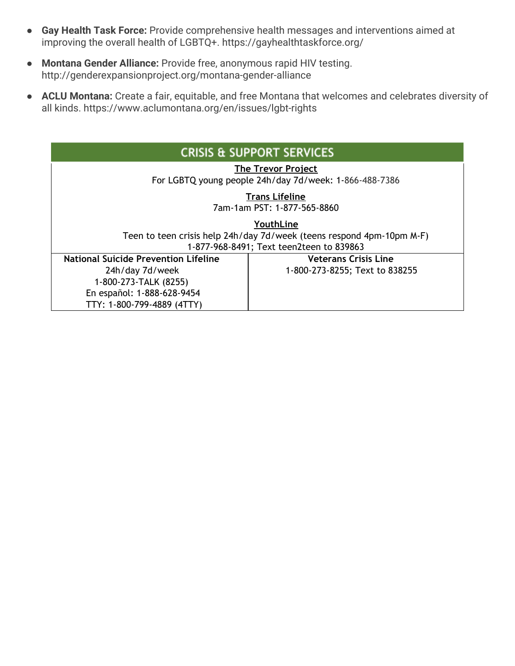- **Gay Health Task Force:** Provide comprehensive health messages and interventions aimed at improving the overall health of LGBTQ+. https://gayhealthtaskforce.org/
- **Montana Gender Alliance:** Provide free, anonymous rapid HIV testing. http://genderexpansionproject.org/montana-gender-alliance
- **ACLU Montana:** Create a fair, equitable, and free Montana that welcomes and celebrates diversity of all kinds. https://www.aclumontana.org/en/issues/lgbt-rights

| <b>CRISIS &amp; SUPPORT SERVICES</b>                                                                                                                |                                                               |  |
|-----------------------------------------------------------------------------------------------------------------------------------------------------|---------------------------------------------------------------|--|
| <b>The Trevor Project</b><br>For LGBTQ young people 24h/day 7d/week: 1-866-488-7386                                                                 |                                                               |  |
| <b>Trans Lifeline</b><br>7am-1am PST: 1-877-565-8860                                                                                                |                                                               |  |
| YouthLine<br>Teen to teen crisis help 24h/day 7d/week (teens respond 4pm-10pm M-F)<br>1-877-968-8491; Text teen2teen to 839863                      |                                                               |  |
| <b>National Suicide Prevention Lifeline</b><br>24h/day 7d/week<br>1-800-273-TALK (8255)<br>En español: 1-888-628-9454<br>TTY: 1-800-799-4889 (4TTY) | <b>Veterans Crisis Line</b><br>1-800-273-8255; Text to 838255 |  |